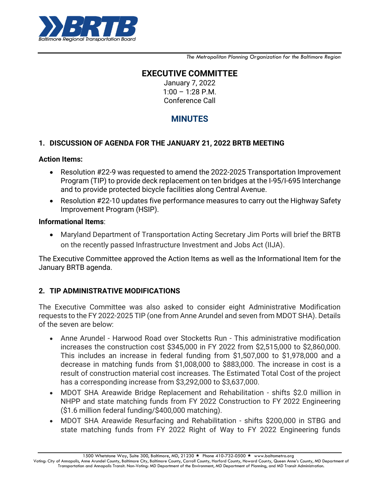

*The Metropolitan Planning Organization for the Baltimore Region*

# **EXECUTIVE COMMITTEE**

January 7, 2022  $1:00 - 1:28$  P.M. Conference Call

# **MINUTES**

### **1. DISCUSSION OF AGENDA FOR THE JANUARY 21, 2022 BRTB MEETING**

### **Action Items:**

- Resolution #22-9 was requested to amend the 2022-2025 Transportation Improvement Program (TIP) to provide deck replacement on ten bridges at the I-95/I-695 Interchange and to provide protected bicycle facilities along Central Avenue.
- Resolution #22-10 updates five performance measures to carry out the Highway Safety Improvement Program (HSIP).

#### **Informational Items**:

 Maryland Department of Transportation Acting Secretary Jim Ports will brief the BRTB on the recently passed Infrastructure Investment and Jobs Act (IIJA).

The Executive Committee approved the Action Items as well as the Informational Item for the January BRTB agenda.

### **2. TIP ADMINISTRATIVE MODIFICATIONS**

The Executive Committee was also asked to consider eight Administrative Modification requests to the FY 2022-2025 TIP (one from Anne Arundel and seven from MDOT SHA). Details of the seven are below:

- Anne Arundel Harwood Road over Stocketts Run This administrative modification increases the construction cost \$345,000 in FY 2022 from \$2,515,000 to \$2,860,000. This includes an increase in federal funding from \$1,507,000 to \$1,978,000 and a decrease in matching funds from \$1,008,000 to \$883,000. The increase in cost is a result of construction material cost increases. The Estimated Total Cost of the project has a corresponding increase from \$3,292,000 to \$3,637,000.
- MDOT SHA Areawide Bridge Replacement and Rehabilitation shifts \$2.0 million in NHPP and state matching funds from FY 2022 Construction to FY 2022 Engineering (\$1.6 million federal funding/\$400,000 matching).
- MDOT SHA Areawide Resurfacing and Rehabilitation shifts \$200,000 in STBG and state matching funds from FY 2022 Right of Way to FY 2022 Engineering funds

1500 Whetstone Way, Suite 300, Baltimore, MD, 21230 ★ Phone 410-732-0500 ★ www.baltometro.org

Voting: City of Annapolis, Anne Arundel County, Baltimore City, Baltimore County, Carroll County, Harford County, Howard County, Queen Anne's County, MD Department of Transportation and Annapolis Transit. Non-Voting: MD Department of the Environment, MD Department of Planning, and MD Transit Administration.